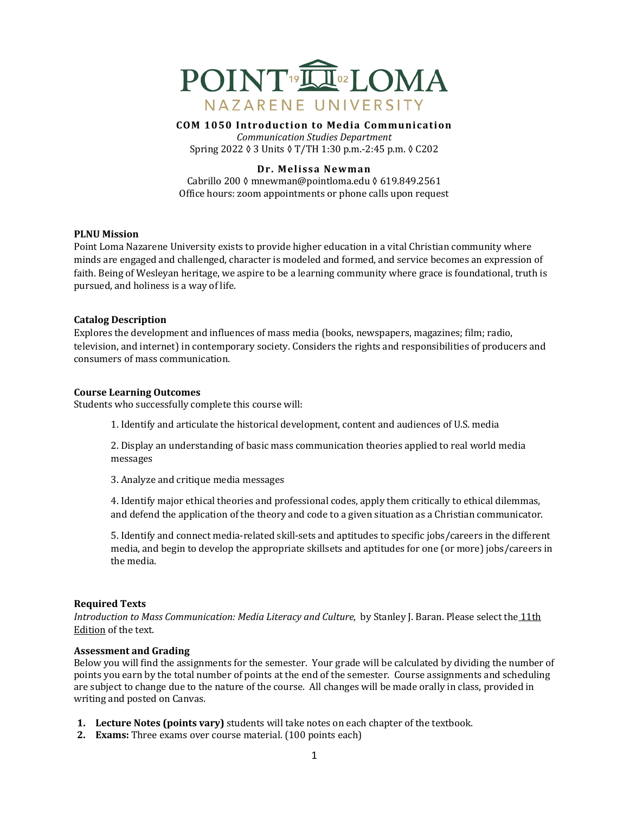

**COM 1050 Introduction to Media Communication**

*Communication Studies Department* Spring 2022 ◊ 3 Units ◊ T/TH 1:30 p.m.-2:45 p.m. ◊ C202

## **Dr. Melissa Newman**

Cabrillo 200 ◊ mnewman@pointloma.edu ◊ 619.849.2561 Office hours: zoom appointments or phone calls upon request

#### **PLNU** Mission

Point Loma Nazarene University exists to provide higher education in a vital Christian community where minds are engaged and challenged, character is modeled and formed, and service becomes an expression of faith. Being of Wesleyan heritage, we aspire to be a learning community where grace is foundational, truth is pursued, and holiness is a way of life.

#### **Catalog Description**

Explores the development and influences of mass media (books, newspapers, magazines; film; radio, television, and internet) in contemporary society. Considers the rights and responsibilities of producers and consumers of mass communication.

#### **Course Learning Outcomes**

Students who successfully complete this course will:

1. Identify and articulate the historical development, content and audiences of U.S. media

2. Display an understanding of basic mass communication theories applied to real world media messages

3. Analyze and critique media messages

4. Identify major ethical theories and professional codes, apply them critically to ethical dilemmas, and defend the application of the theory and code to a given situation as a Christian communicator.

5. Identify and connect media-related skill-sets and aptitudes to specific jobs/careers in the different media, and begin to develop the appropriate skillsets and aptitudes for one (or more) jobs/careers in the media.

#### **Required Texts**

*Introduction to Mass Communication: Media Literacy and Culture*, by Stanley J. Baran. Please select the 11th Edition of the text.

## **Assessment and Grading**

Below you will find the assignments for the semester. Your grade will be calculated by dividing the number of points you earn by the total number of points at the end of the semester. Course assignments and scheduling are subject to change due to the nature of the course. All changes will be made orally in class, provided in writing and posted on Canvas.

- **1.** Lecture Notes (points vary) students will take notes on each chapter of the textbook.
- **2. Exams:** Three exams over course material. (100 points each)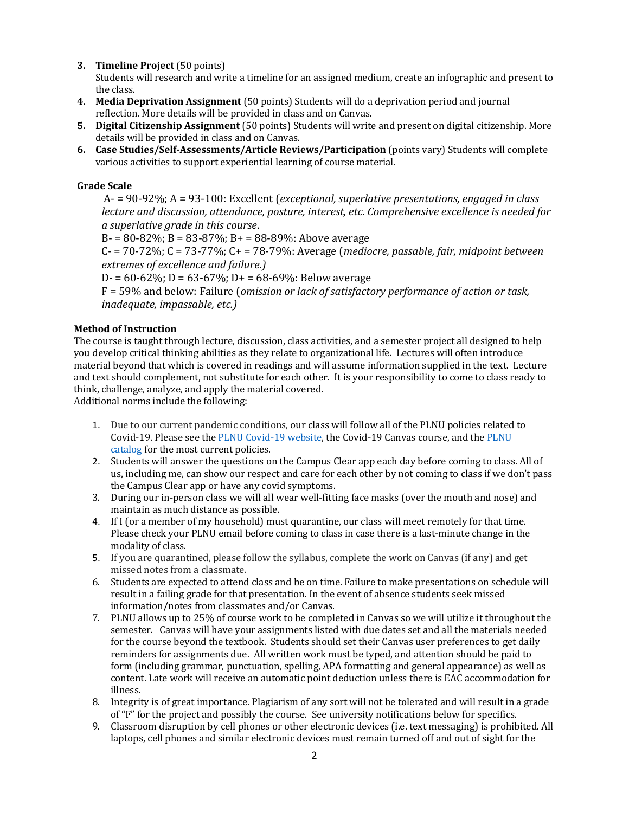**3. Timeline Project** (50 points)

Students will research and write a timeline for an assigned medium, create an infographic and present to the class.

- **4.** Media Deprivation Assignment (50 points) Students will do a deprivation period and journal reflection. More details will be provided in class and on Canvas.
- **5. Digital Citizenship Assignment** (50 points) Students will write and present on digital citizenship. More details will be provided in class and on Canvas.
- **6.** Case Studies/Self-Assessments/Article Reviews/Participation (points vary) Students will complete various activities to support experiential learning of course material.

# **Grade Scale**

A- = 90-92%; A = 93-100: Excellent (*exceptional, superlative presentations, engaged in class lecture and discussion, attendance, posture, interest, etc. Comprehensive excellence is needed for a superlative grade in this course*.

 $B = 80 - 82\%$ ;  $B = 83 - 87\%$ ;  $B = 88 - 89\%$ : Above average

C- = 70-72%; C = 73-77%; C + = 78-79%: Average (*mediocre, passable, fair, midpoint between extremes of excellence and failure.)* 

D- =  $60-62\%$ ; D =  $63-67\%$ ; D+ =  $68-69\%$ : Below average

F = 59% and below: Failure (*omission or lack of satisfactory performance of action or task, inadequate, impassable, etc.)* 

# **Method of Instruction**

The course is taught through lecture, discussion, class activities, and a semester project all designed to help you develop critical thinking abilities as they relate to organizational life. Lectures will often introduce material beyond that which is covered in readings and will assume information supplied in the text. Lecture and text should complement, not substitute for each other. It is your responsibility to come to class ready to think, challenge, analyze, and apply the material covered.

Additional norms include the following:

- 1. Due to our current pandemic conditions, our class will follow all of the PLNU policies related to Covid-19. Please see the PLNU Covid-19 website, the Covid-19 Canvas course, and the PLNU catalog for the most current policies.
- 2. Students will answer the questions on the Campus Clear app each day before coming to class. All of us, including me, can show our respect and care for each other by not coming to class if we don't pass the Campus Clear app or have any covid symptoms.
- 3. During our in-person class we will all wear well-fitting face masks (over the mouth and nose) and maintain as much distance as possible.
- 4. If I (or a member of my household) must quarantine, our class will meet remotely for that time. Please check your PLNU email before coming to class in case there is a last-minute change in the modality of class.
- 5. If you are quarantined, please follow the syllabus, complete the work on Canvas (if any) and get missed notes from a classmate.
- 6. Students are expected to attend class and be on time. Failure to make presentations on schedule will result in a failing grade for that presentation. In the event of absence students seek missed information/notes from classmates and/or Canvas.
- 7. PLNU allows up to 25% of course work to be completed in Canvas so we will utilize it throughout the semester. Canvas will have your assignments listed with due dates set and all the materials needed for the course beyond the textbook. Students should set their Canvas user preferences to get daily reminders for assignments due. All written work must be typed, and attention should be paid to form (including grammar, punctuation, spelling, APA formatting and general appearance) as well as content. Late work will receive an automatic point deduction unless there is EAC accommodation for illness.
- 8. Integrity is of great importance. Plagiarism of any sort will not be tolerated and will result in a grade of "F" for the project and possibly the course. See university notifications below for specifics.
- 9. Classroom disruption by cell phones or other electronic devices (i.e. text messaging) is prohibited. All laptops, cell phones and similar electronic devices must remain turned off and out of sight for the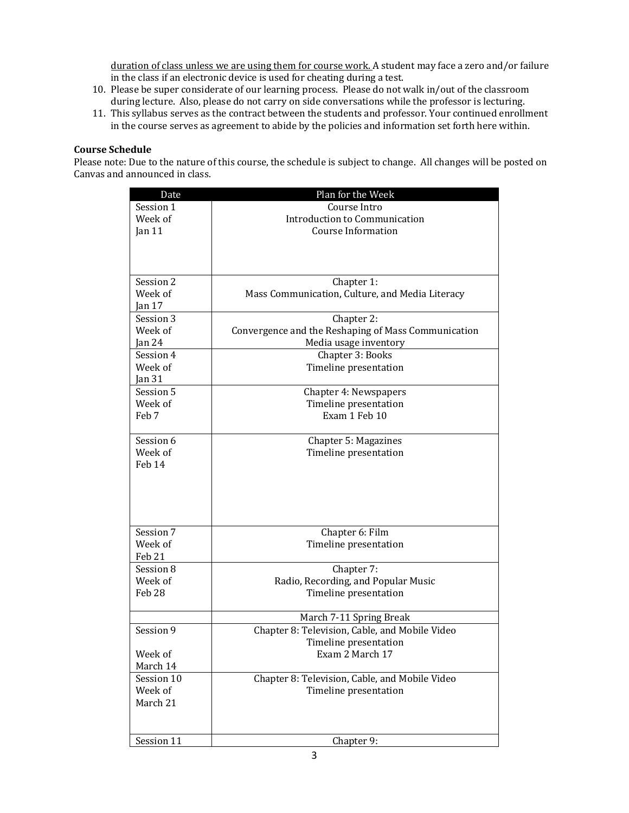duration of class unless we are using them for course work. A student may face a zero and/or failure in the class if an electronic device is used for cheating during a test.

- 10. Please be super considerate of our learning process. Please do not walk in/out of the classroom during lecture. Also, please do not carry on side conversations while the professor is lecturing.
- 11. This syllabus serves as the contract between the students and professor. Your continued enrollment in the course serves as agreement to abide by the policies and information set forth here within.

## **Course Schedule**

Please note: Due to the nature of this course, the schedule is subject to change. All changes will be posted on Canvas and announced in class.

| Date                 | Plan for the Week                                                         |
|----------------------|---------------------------------------------------------------------------|
| Session 1            | Course Intro                                                              |
| Week of              | Introduction to Communication                                             |
| Jan $11$             | <b>Course Information</b>                                                 |
|                      |                                                                           |
|                      |                                                                           |
|                      |                                                                           |
| Session 2            | Chapter 1:                                                                |
| Week of              | Mass Communication, Culture, and Media Literacy                           |
| Jan <sub>17</sub>    |                                                                           |
| Session 3            | Chapter 2:                                                                |
| Week of              | Convergence and the Reshaping of Mass Communication                       |
| $\tan 24$            | Media usage inventory                                                     |
| Session 4            | Chapter 3: Books                                                          |
| Week of              | Timeline presentation                                                     |
| Jan $31$             |                                                                           |
| Session 5            | Chapter 4: Newspapers                                                     |
| Week of              | Timeline presentation                                                     |
| Feb 7                | Exam 1 Feb 10                                                             |
|                      |                                                                           |
| Session 6<br>Week of | Chapter 5: Magazines                                                      |
| Feb 14               | Timeline presentation                                                     |
|                      |                                                                           |
|                      |                                                                           |
|                      |                                                                           |
|                      |                                                                           |
|                      |                                                                           |
| Session 7            | Chapter 6: Film                                                           |
| Week of              | Timeline presentation                                                     |
| Feb 21               |                                                                           |
| Session 8            | Chapter 7:                                                                |
| Week of              | Radio, Recording, and Popular Music                                       |
| <b>Feb 28</b>        | Timeline presentation                                                     |
|                      |                                                                           |
| Session 9            | March 7-11 Spring Break<br>Chapter 8: Television, Cable, and Mobile Video |
|                      | Timeline presentation                                                     |
| Week of              | Exam 2 March 17                                                           |
| March 14             |                                                                           |
| Session 10           | Chapter 8: Television, Cable, and Mobile Video                            |
| Week of              | Timeline presentation                                                     |
| March 21             |                                                                           |
|                      |                                                                           |
|                      |                                                                           |
| Session 11           | Chapter 9:                                                                |
|                      |                                                                           |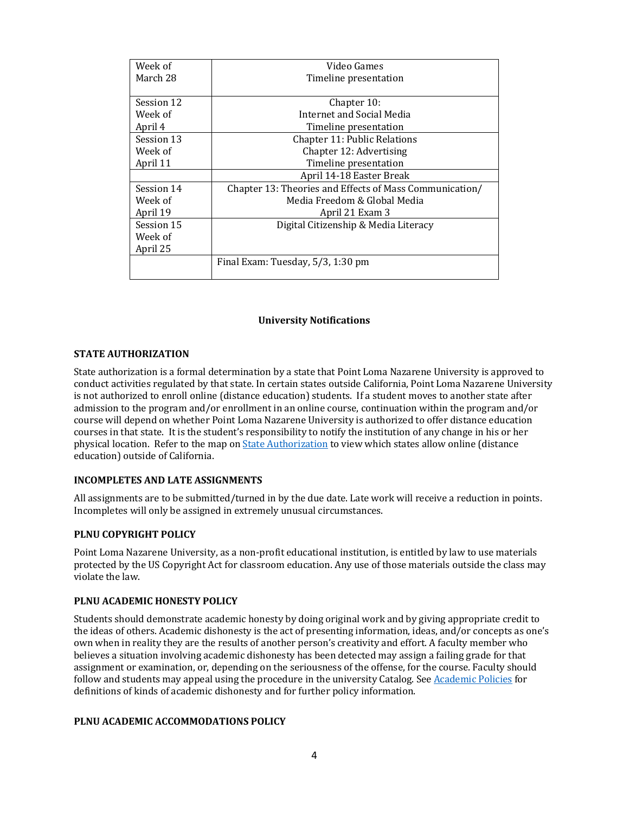| Week of    | Video Games                                             |
|------------|---------------------------------------------------------|
| March 28   | Timeline presentation                                   |
|            |                                                         |
| Session 12 | Chapter 10:                                             |
| Week of    | Internet and Social Media                               |
| April 4    | Timeline presentation                                   |
| Session 13 | <b>Chapter 11: Public Relations</b>                     |
| Week of    | Chapter 12: Advertising                                 |
| April 11   | Timeline presentation                                   |
|            | April 14-18 Easter Break                                |
| Session 14 | Chapter 13: Theories and Effects of Mass Communication/ |
| Week of    | Media Freedom & Global Media                            |
| April 19   | April 21 Exam 3                                         |
| Session 15 | Digital Citizenship & Media Literacy                    |
| Week of    |                                                         |
| April 25   |                                                         |
|            | Final Exam: Tuesday, 5/3, 1:30 pm                       |
|            |                                                         |

### **University Notifications**

#### **STATE AUTHORIZATION**

State authorization is a formal determination by a state that Point Loma Nazarene University is approved to conduct activities regulated by that state. In certain states outside California, Point Loma Nazarene University is not authorized to enroll online (distance education) students. If a student moves to another state after admission to the program and/or enrollment in an online course, continuation within the program and/or course will depend on whether Point Loma Nazarene University is authorized to offer distance education courses in that state. It is the student's responsibility to notify the institution of any change in his or her physical location. Refer to the map on State Authorization to view which states allow online (distance education) outside of California.

#### **INCOMPLETES AND LATE ASSIGNMENTS**

All assignments are to be submitted/turned in by the due date. Late work will receive a reduction in points. Incompletes will only be assigned in extremely unusual circumstances.

#### **PLNU COPYRIGHT POLICY**

Point Loma Nazarene University, as a non-profit educational institution, is entitled by law to use materials protected by the US Copyright Act for classroom education. Any use of those materials outside the class may violate the law.

#### **PLNU ACADEMIC HONESTY POLICY**

Students should demonstrate academic honesty by doing original work and by giving appropriate credit to the ideas of others. Academic dishonesty is the act of presenting information, ideas, and/or concepts as one's own when in reality they are the results of another person's creativity and effort. A faculty member who believes a situation involving academic dishonesty has been detected may assign a failing grade for that assignment or examination, or, depending on the seriousness of the offense, for the course. Faculty should follow and students may appeal using the procedure in the university Catalog. See Academic Policies for definitions of kinds of academic dishonesty and for further policy information.

#### **PLNU ACADEMIC ACCOMMODATIONS POLICY**